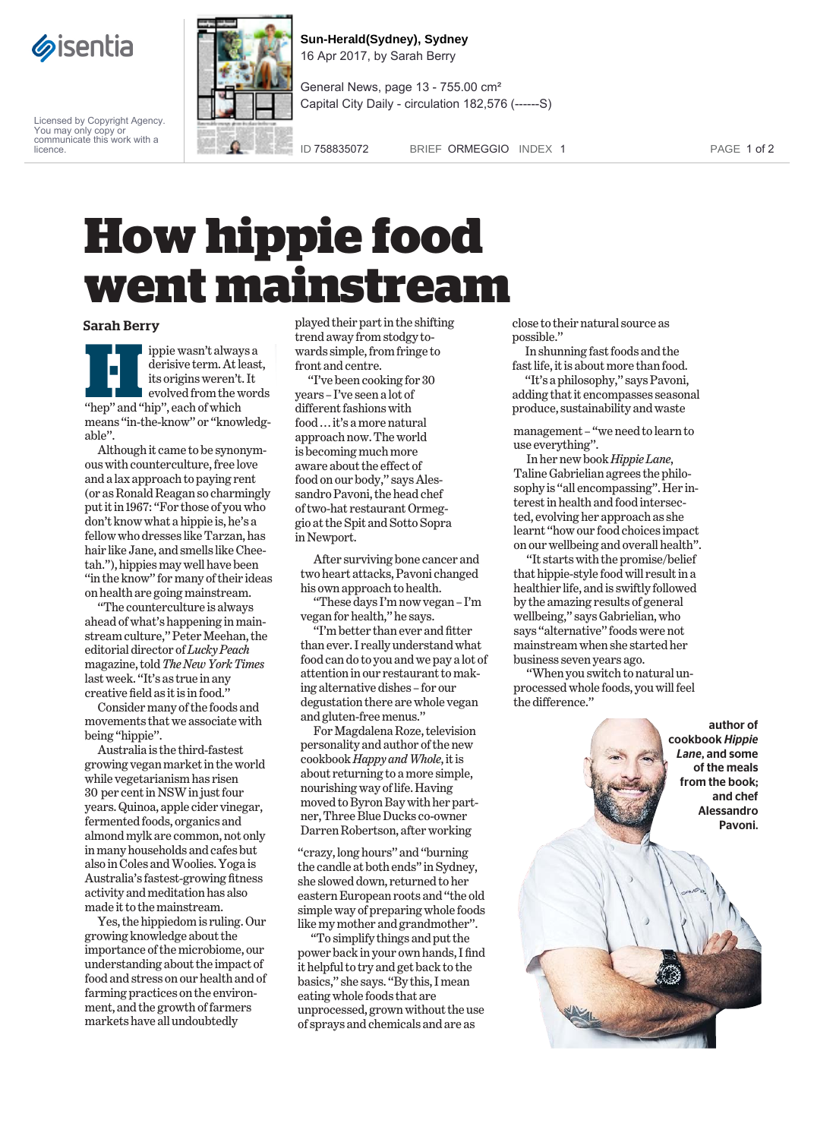

Licensed by Copyright Agency. You may only copy or communicate this work with a licence.



**Sun-Herald(Sydney), Sydney** 16 Apr 2017, by Sarah Berry

General News, page 13 - 755.00 cm² Capital City Daily - circulation 182,576 (------S)

ID 758835072 BRIEF ORMEGGIO INDEX 1 PAGE 1 of 2

## **How hippie food went mainstream**

## Sarah Berry

**Hippie wasn't always a**<br>derisive term. At leas<br>its origins weren't. It<br>evolved from the wor<br>"hep" and "hip", each of which derisive term.At least, its origins weren't. It evolved from the words means ''in-the-know'' or ''knowledgable''.

Although it came to be synonymous with counterculture, free love and a lax approach to paying rent (or as Ronald Reagan so charmingly put it in 1967: ''For those of you who don't know what a hippie is, he's a fellow who dresses like Tarzan, has hair like Jane, and smells like Cheetah.''), hippies may well have been ''in the know'' for many of their ideas on health are going mainstream.

''The counterculture is always ahead of what's happening in mainstream culture," Peter Meehan, the editorial director of*Lucky Peach* magazine, told*The New York Times* last week. ''It's as true in any creative field as it is in food.''

Consider many of the foods and movements that we associate with being ''hippie''.

Australia is the third-fastest growing vegan market in the world while vegetarianism has risen 30 per cent in NSW in just four years. Quinoa, apple cider vinegar, fermented foods, organics and almond mylk are common, not only in many households and cafes but also in Coles andWoolies. Yoga is Australia's fastest-growing fitness activity and meditation has also made it to the mainstream.

Yes, the hippiedom is ruling. Our growing knowledge about the importance of the microbiome, our understanding about the impact of food and stress on our health and of farming practices on the environment, and the growth of farmers markets have all undoubtedly

played their part in the shifting trend away from stodgy towards simple, from fringe to front and centre.

''I've been cooking for 30 years – I've seen a lot of different fashions with food ... it's a more natural approach now. The world is becoming much more aware about the effect of food on our body,'' saysAlessandro Pavoni, the head chef of two-hat restaurant Ormeggio at the Spit and Sotto Sopra in Newport.

After surviving bone cancer and two heart attacks, Pavoni changed his own approach to health.

''These days I'm now vegan – I'm vegan for health,'' he says.

''I'm better than ever and fitter than ever. I really understand what food can do to you and we pay a lot of attention in our restaurant to making alternative dishes – for our degustation there are whole vegan and gluten-free menus.''

ForMagdalena Roze, television personality and author of the new cookbook*Happy andWhole*, it is about returning to a more simple, nourishing way of life. Having moved to Byron Bay with her partner, Three BlueDucks co-owner Darren Robertson, after working

''crazy, long hours'' and ''burning the candle at both ends'' in Sydney, she slowed down, returned to her eastern European roots and ''the old simple way of preparing whole foods like my mother and grandmother''.

''To simplify things and put the power back in your own hands, I find it helpful to try and get back to the basics,'' she says. ''By this, I mean eating whole foods that are unprocessed, grown without the use of sprays and chemicals and are as

close to their natural source as possible.''

In shunning fast foods and the fast life, it is about more than food.

''It's a philosophy,'' says Pavoni, adding that it encompasses seasonal produce, sustainability and waste

management – ''we need to learn to use everything''.

In her new book*Hippie Lane*, Taline Gabrielian agrees the philosophy is "all encompassing". Her interest in health and food intersected, evolving her approach as she learnt ''how our food choices impact on our wellbeing and overall health''.

''It starts with the promise/belief that hippie-style food will result in a healthier life, and is swiftly followed by the amazing results of general wellbeing,'' says Gabrielian, who says ''alternative'' foods were not mainstream when she started her business seven years ago.

''When you switch to natural unprocessed whole foods, you will feel the difference.''